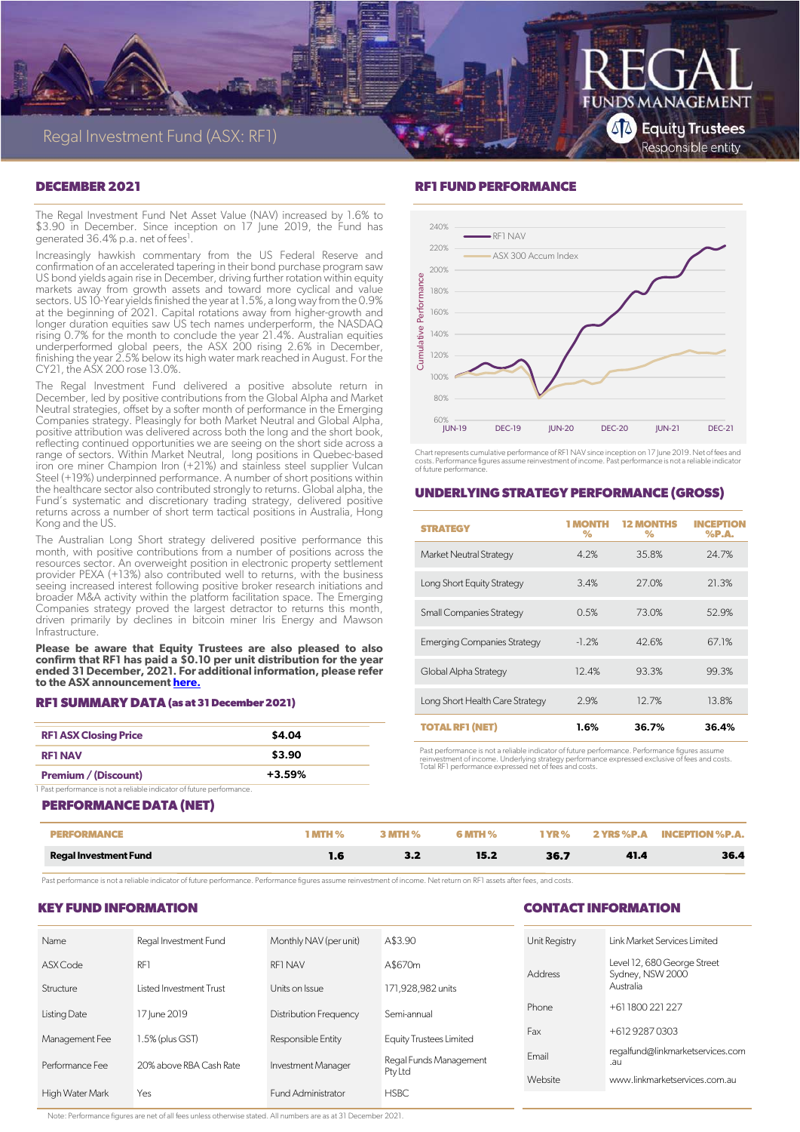

# **DECEMBER 2021**

The Regal Investment Fund Net Asset Value (NAV) increased by 1.6% to \$3.90 in December. Since inception on 17 June 2019, the Fund has generated 36.4% p.a. net of fees<sup>1</sup>.

Increasingly hawkish commentary from the US Federal Reserve and confirmation of an accelerated tapering in their bond purchase program saw US bond yields again rise in December, driving further rotation within equity markets away from growth assets and toward more cyclical and value sectors. US 10-Year yields finished the year at 1.5%, a long way from the 0.9% at the beginning of 2021. Capital rotations away from higher-growth and longer duration equities saw US tech names underperform, the NASDAQ rising 0.7% for the month to conclude the year 21.4%. Australian equities underperformed global peers, the ASX 200 rising 2.6% in December, finishing the year 2.5% below its high water mark reached in August. For the CY21, the ASX 200 rose 13.0%.

The Regal Investment Fund delivered a positive absolute return in December, led by positive contributions from the Global Alpha and Market Neutral strategies, offset by a softer month of performance in the Emerging Companies strategy. Pleasingly for both Market Neutral and Global Alpha, positive attribution was delivered across both the long and the short book, reflecting continued opportunities we are seeing on the short side across a range of sectors. Within Market Neutral, long positions in Quebec-based iron ore miner Champion Iron (+21%) and stainless steel supplier Vulcan Steel (+19%) underpinned performance. A number of short positions within the healthcare sector also contributed strongly to returns. Global alpha, the Fund's systematic and discretionary trading strategy, delivered positive returns across a number of short term tactical positions in Australia, Hong Kong and the US.

The Australian Long Short strategy delivered positive performance this month, with positive contributions from a number of positions across the resources sector. An overweight position in electronic property settlement provider PEXA (+13%) also contributed well to returns, with the business seeing increased interest following positive broker research initiations and broader M&A activity within the platform facilitation space. The Emerging Companies strategy proved the largest detractor to returns this month, driven primarily by declines in bitcoin miner Iris Energy and Mawson Infrastructure.

**Please be aware that Equity Trustees are also pleased to also confirm that RF1 has paid a \$0.10 per unit distribution for the year ended 31 December, 2021. For additional information, please refer to the ASX announcement [here.](https://www.regalfm.com/site/PDF/2c641442-7470-4e77-99df-ffadf28927b2/RF1DistributionAdditionalInformation)**

## **RF1 SUMMARY DATA (as at 31 December 2021)**

| <b>RF1 ASX Closing Price</b> | \$4.04   |
|------------------------------|----------|
| <b>RF1 NAV</b>               | \$3.90   |
| <b>Premium / (Discount)</b>  | $+3.59%$ |

1 Past performance is not a reliable indicator of future performance.

### **PERFORMANCE DATA (NET)**

| <b>Regal Investment Fund</b> |  | 36.,      |        | 36.4                   |
|------------------------------|--|-----------|--------|------------------------|
|                              |  | <b>DO</b> | X %D A | <b>INCEPTION %P.A.</b> |

Past performance is not a reliable indicator of future performance. Performance figures assume reinvestment of income. Net return on RF1 assets after fees, and costs.

## **KEY FUND INFORMATION**

| Name            | Regal Investment Fund   | Monthly NAV (per unit)        | A\$3.90                 | Unit Registry | Link Market Servio                   |
|-----------------|-------------------------|-------------------------------|-------------------------|---------------|--------------------------------------|
| <b>ASX Code</b> | RF1                     | RF1 NAV                       | A\$670m                 | Address       | Level 12, 680 Gec<br>Sydney, NSW 200 |
| Structure       | Listed Investment Trust | Units on Issue                | 171.928.982 units       |               | Australia                            |
| Listing Date    | 17 June 2019            | <b>Distribution Frequency</b> | Semi-annual             | Phone         | +611800221227                        |
| Management Fee  | 1.5% (plus GST)         | Responsible Entity            | Equity Trustees Limited | Fax           | +61292870303                         |
| Performance Fee | 20% above RBA Cash Rate | <b>Investment Manager</b>     | Regal Funds Management  | Email         | regalfund@linkma<br>.au              |
|                 |                         |                               | Pty Ltd                 | Website       | www.linkmarketse                     |
| High Water Mark | Yes                     | <b>Fund Administrator</b>     | <b>HSBC</b>             |               |                                      |

Note: Performance figures are net of all fees unless otherwise stated. All numbers are as at 31 December 2021.

#### **RF1 FUND PERFORMANCE**



Chart represents cumulative performance of RF1 NAV since inception on 17 June 2019. Net of fees and costs. Performance figures assume reinvestment of income. Past performance is not a reliable indicator of future performance.

# **UNDERLYING STRATEGY PERFORMANCE (GROSS)**

| <b>STRATEGY</b>                    | 1 MONTH<br>℅ | <b>12 MONTHS</b><br>℅ | <b>INCEPTION</b><br>$%$ P.A. |
|------------------------------------|--------------|-----------------------|------------------------------|
| Market Neutral Strategy            | 4.2%         | 35.8%                 | 24.7%                        |
| Long Short Equity Strategy         | 3.4%         | 27.0%                 | 21.3%                        |
| <b>Small Companies Strategy</b>    | 0.5%         | 73.0%                 | 52.9%                        |
| <b>Emerging Companies Strategy</b> | $-1.2%$      | 42.6%                 | 67.1%                        |
| Global Alpha Strategy              | 12.4%        | 93.3%                 | 99.3%                        |
| Long Short Health Care Strategy    | 2.9%         | 12.7%                 | 13.8%                        |
| <b>TOTAL RF1 (NET)</b>             | 1.6%         | 36.7%                 | 36.4%                        |

Past performance is not a reliable indicator of future performance. Performance figures assume<br>reinvestment of income. Underlying strategy performance expressed exclusive of fees and costs.<br>Total RF1 performance expressed

# **CONTACT INFORMATION**

| Unit Registry | Link Market Services Limited                                 |
|---------------|--------------------------------------------------------------|
| Address       | Level 12, 680 George Street<br>Sydney, NSW 2000<br>Australia |
| Phone         | +61 1800 221 227                                             |
| Fax           | +61292870303                                                 |
| Fmail         | regalfund@linkmarketservices.com<br>$.$ au                   |
| Website       | www linkmarketservices com au                                |
|               |                                                              |